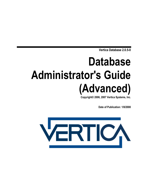**Vertica Database 2.0.5-0**

# **Database Administrator's Guide (Advanced)**

**Copyright© 2006, 2007 Vertica Systems, Inc.**

**Date of Publication: 1/8/2008**

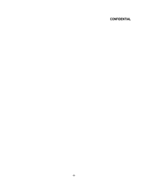# **CONFIDENTIAL**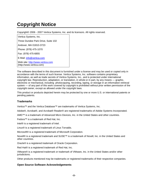# **Copyright Notice**

Copyright© 2006 - 2007 Vertica Systems, Inc. and its licensors. All rights reserved.

Vertica Systems, Inc. Three Dundee Park Drive, Suite 102 Andover, MA 01810-3723 Phone: (978) 475-1070 Fax: (978) 475-6855 E-Mail: [info@vertica.com](mailto:info@vertica.com) Web site:<http://www.vertica.com> [\(http://www.vertica.com\)](http://www.vertica.com)

The software described in this document is furnished under a license and may be used or copied only in accordance with the terms of such license. Vertica Systems, Inc. software contains proprietary information, as well as trade secrets of Vertica Systems, Inc., and is protected under international copyright law. Reproduction, adaptation, or translation, in whole or in part, by any means — graphic, electronic or mechanical, including photocopying, recording, taping, or storage in an information retrieval system — of any part of this work covered by copyright is prohibited without prior written permission of the copyright owner, except as allowed under the copyright laws.

This product or products depicted herein may be protected by one or more U.S. or international patents or pending patents.

#### **Trademarks**

Vertica™ and the Vertica Database™ are trademarks of Vertica Systems, Inc.

Adobe®, Acrobat®, and Acrobat® Reader® are registered trademarks of Adobe Systems Incorporated.

AMD™ is a trademark of Advanced Micro Devices, Inc. in the United States and other countries.

Fedora™ is a trademark of Red Hat, Inc.

Intel® is a registered trademark of Intel.

Linux® is a registered trademark of Linus Torvalds.

Microsoft® is a registered trademark of Microsoft Corporation.

Novell® is a registered trademark and SUSE™ is a trademark of Novell, Inc. in the United States and other countries.

Oracle® is a registered trademark of Oracle Corporation.

Red Hat® is a registered trademark of Red Hat, Inc.

VMware® is a registered trademark or trademark of VMware, Inc. in the United States and/or other jurisdictions.

Other products mentioned may be trademarks or registered trademarks of their respective companies.

#### **Open Source Software Acknowledgements**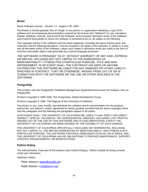#### **Boost**

Boost Software License - Version 1.0 - August 17th, 2003

Permission is hereby granted, free of charge, to any person or organization obtaining a copy of the software and accompanying documentation covered by this license (the "Software") to use, reproduce, display, distribute, execute, and transmit the Software, and to prepare derivative works of the Software, and to permit third-parties to whom the Software is furnished to do so, all subject to the following:

The copyright notices in the Software and this entire statement, including the above license grant, this restriction and the following disclaimer, must be included in all copies of the Software, in whole or in part, and all derivative works of the Software, unless such copies or derivative works are solely in the form of machine-executable object code generated by a source language processor.

THE SOFTWARE IS PROVIDED "AS IS", WITHOUT WARRANTY OF ANY KIND, EXPRESS OR IMPLIED, INCLUDING BUT NOT LIMITED TO THE WARRANTIES OF MERCHANTABILITY, FITNESS FOR A PARTICULAR PURPOSE, TITLE AND NON-INFRINGEMENT. IN NO EVENT SHALL THE COPYRIGHT HOLDERS OR ANYONE DISTRIBUTING THE SOFTWARE BE LIABLE FOR ANY DAMAGES OR OTHER LIABILITY, WHETHER IN CONTRACT, TORT OR OTHERWISE, ARISING FROM, OUT OF OR IN CONNECTION WITH THE SOFTWARE OR THE USE OR OTHER DEALINGS IN THE SOFTWARE.

#### **PostgreSQL**

This product uses the PostgreSQL Database Management System(formerly known as Postgres, then as Postgres95)

Portions Copyright © 1996-2005, The PostgreSQL Global Development Group

Portions Copyright © 1994, The Regents of the University of California

Permission to use, copy, modify, and distribute this software and its documentation for any purpose, without fee, and without a written agreement is hereby granted, provided that the above copyright notice and this paragraph and the following two paragraphs appear in all copies.

IN NO EVENT SHALL THE UNIVERSITY OF CALIFORNIA BE LIABLE TO ANY PARTY FOR DIRECT, INDIRECT, SPECIAL, INCIDENTAL, OR CONSEQUENTIAL DAMAGES, INCLUDING LOST PROFITS, ARISING OUT OF THE USE OF THIS SOFTWARE AND ITS DOCUMENTATION, EVEN IF THE UNIVERSITY OF CALIFORNIA HAS BEEN ADVISED OF THE POSSIBILITY OF SUCH DAMAGE.

THE UNIVERSITY OF CALIFORNIA SPECIFICALLY DISCLAIMS ANY WARRANTIES, INCLUDING, BUT NOT LIMITED TO, THE IMPLIED WARRANTIES OF MERCHANTABILITY AND FITNESS FOR A PARTICULAR PURPOSE. THE SOFTWARE PROVIDED HEREUNDER IS ON AN "AS IS" BASIS, AND THE UNIVERSITY OF CALIFORNIA HAS NO OBLIGATIONS TO PROVIDE MAINTENANCE, SUPPORT, UPDATES, ENHANCEMENTS, OR MODIFICATIONS.

#### **Python Dialog**

The Administration Tools part of this product uses Python Dialog,a Python module for doing consolemode user interaction.

Upstream Author:

Peter Astrand <[peter@cendio.se](mailto:peter@cendio.se)>

Robb Shecter <[robb@acm.org>](mailto:robb@acm.org)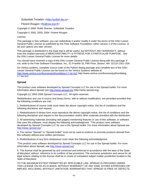Sultanbek Tezadov <[http://sultan.da.ru>](http://sultan.da.ru)

Florent Rougon [<flo@via.ecp.fr>](mailto:flo@via.ecp.fr)

Copyright © 2000 Robb Shecter, Sultanbek Tezadov

Copyright © 2002, 2003, 2004 Florent Rougon

License:

This package is free software; you can redistribute it and/or modify it under the terms of the GNU Lesser General Public License as published by the Free Software Foundation; either version 2 of the License, or (at your option) any later version.

This package is distributed in the hope that it will be useful, but WITHOUT ANY WARRANTY; without even the implied warranty of MERCHANTABILITY or FITNESS FOR A PARTICULAR PURPOSE. See the GNU Lesser General Public License for more details.

You should have received a copy of the GNU Lesser General Public License along with this package; if not, write to the Free Software Foundation, Inc., 51 Franklin St, Fifth Floor, Boston, MA 02110-1301 USA

On Vertica systems, complete source code of the Python dialog package and complete text of the GNU Lesser General Public License can be found on the Vertica Systems website at <http://www.vertica.com/licenses/pythondialog-2.7.tar.bz2> <http://www.vertica.com/licenses/pythondialog->2.7.tar.bz2

#### **Spread**

This product uses software developed by Spread Concepts LLC for use in the Spread toolkit. For more information about Spread see <http://www.spread.org> [\(http://www.spread.org](http://www.spread.org)).

Copyright (c) 1993-2006 Spread Concepts LLC. All rights reserved.

Redistribution and use in source and binary forms, with or without modification, are permitted provided that the following conditions are met:

1. Redistributions of source code must retain the above copyright notice, this list of conditions and the following disclaimer and request.

2. Redistributions in binary form must reproduce the above copyright notice, this list of conditions and the following disclaimer and request in the documentation and/or other materials provided with the distribution.

3. All advertising materials (including web pages) mentioning features or use of this software, or software that uses this software, must display the following acknowledgment: "This product uses software developed by Spread Concepts LLC for use in the Spread toolkit. For more information about Spread see <http://www.spread.org>"

4. The names "Spread" or "Spread toolkit" must not be used to endorse or promote products derived from this software without prior written permission.

5. Redistributions of any form whatsoever must retain the following acknowledgment:

"This product uses software developed by Spread Concepts LLC for use in the Spread toolkit. For more information about Spread, see [http://www.spread.org"](http://www.spread.org)

6. This license shall be governed by and construed and enforced in accordance with the laws of the State of Maryland, without reference to its conflicts of law provisions. The exclusive jurisdiction and venue for all legal actions relating to this license shall be in courts of competent subject matter jurisdiction located in the State of Maryland.

TO THE MAXIMUM EXTENT PERMITTED BY APPLICABLE LAW, SPREAD IS PROVIDED UNDER THIS LICENSE ON AN AS IS BASIS, WITHOUT WARRANTY OF ANY KIND, EITHER EXPRESSED OR IMPLIED, INCLUDING, WITHOUT LIMITATION, WARRANTIES THAT SPREAD IS FREE OF DEFECTS,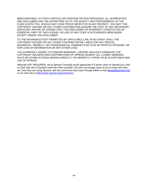MERCHANTABLE, FIT FOR A PARTICULAR PURPOSE OR NON-INFRINGING. ALL WARRANTIES ARE DISCLAIMED AND THE ENTIRE RISK AS TO THE QUALITY AND PERFORMANCE OF THE CODE IS WITH YOU. SHOULD ANY CODE PROVE DEFECTIVE IN ANY RESPECT, YOU (NOT THE COPYRIGHT HOLDER OR ANY OTHER CONTRIBUTOR) ASSUME THE COST OF ANY NECESSARY SERVICING, REPAIR OR CORRECTION. THIS DISCLAIMER OF WARRANTY CONSTITUTES AN ESSENTIAL PART OF THIS LICENSE. NO USE OF ANY CODE IS AUTHORIZED HEREUNDER EXCEPT UNDER THIS DISCLAIMER.

TO THE MAXIMUM EXTENT PERMITTED BY APPLICABLE LAW, IN NO EVENT SHALL THE COPYRIGHT HOLDER OR ANY OTHER CONTRIBUTOR BE LIABLE FOR ANY SPECIAL, INCIDENTAL, INDIRECT, OR CONSEQUENTIAL DAMAGES FOR LOSS OF PROFITS, REVENUE, OR FOR LOSS OF INFORMATION OR ANY OTHER LOSS.

YOU EXPRESSLY AGREE TO FOREVER INDEMNIFY, DEFEND AND HOLD HARMLESS THE COPYRIGHT HOLDERS AND CONTRIBUTORS OF SPREAD AGAINST ALL CLAIMS, DEMANDS, SUITS OR OTHER ACTIONS ARISING DIRECTLY OR INDIRECTLY FROM YOUR ACCEPTANCE AND USE OF SPREAD.

Although NOT REQUIRED, we at Spread Concepts would appreciate it if active users of Spread put a link on their web site to Spread's web site when possible. We also encourage users to let us know who they are, how they are using Spread, and any comments they have through either e-mail ([spread@spread.org](mailto:spread@spread.org)) or our web site at (<http://www.spread.org/comments>).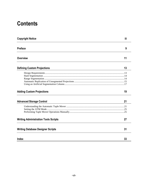# **Contents**

| <b>Copyright Notice</b>                     | iii |
|---------------------------------------------|-----|
| <b>Preface</b>                              | 9   |
| <b>Overview</b>                             | 11  |
| <b>Defining Custom Projections</b>          | 13  |
|                                             |     |
|                                             |     |
|                                             |     |
|                                             |     |
|                                             |     |
| <b>Adding Custom Projections</b>            | 19  |
| <b>Advanced Storage Control</b>             | 21  |
|                                             |     |
|                                             |     |
|                                             |     |
| <b>Writing Administration Tools Scripts</b> | 27  |
| <b>Writing Database Designer Scripts</b>    | 31  |
| <b>Index</b>                                | 33  |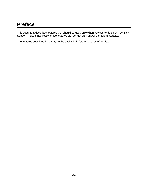# **Preface**

This document describes features that should be used only when advised to do so by Technical Support. If used incorrectly, these features can corrupt data and/or damage a database.

The features described here may not be available in future releases of Vertica.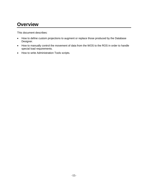# **Overview**

This document describes:

- · How to define custom projections to augment or replace those produced by the Database Designer.
- · How to manually control the movement of data from the WOS to the ROS in order to handle special load requirements.
- · How to write Administration Tools scripts.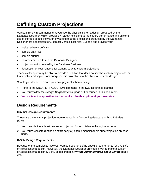# **Defining Custom Projections**

Vertica strongly recommends that you use the physical schema design produced by the Database Designer, which provides K-Safety, excellent ad-hoc query performance and efficient use of storage space. However, if you find that the projections produced by the Database Designer are not satisfactory, contact Vertica Technical Support and provide your:

- logical schema definition
- sample data files
- sample queries
- parameters used to run the Database Designer
- projection script created by the Database Designer
- description of your reasons for wanting to write custom projections

Technical Support may be able to provide a solution that does not involve custom projections, or that involves adding custom query-specific projections to the physical schema design.

Should you decide to create your own physical schema design:

- · Refer to the CREATE PROJECTION command in the SQL Reference Manual.
- · You must follow the *Design Requirements* (page 13) described in this document.
- · **Vertica is not responsible for the results. Use this option at your own risk.**

# **Design Requirements**

#### **Minimal Design Requirements**

These are the minimal projection requirements for a functioning database with no K-Safety  $(K=0)$ .

- 1. You must define at least one superprojection for each table in the logical schema.
- 2. You must replicate (define an exact copy of) each dimension table superprojection on each node.

#### **K-Safe Design Requirements**

Because of the complexity involved, Vertica does not define specific requirements for a K-Safe physical schema design. However, the Database Designer provides a way to make a custom physical schema design K-Safe, as described in *Writing Administration Tools Scripts* (page 27).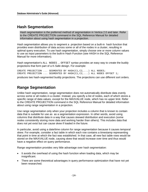# **Hash Segmentation**

Hash segmentation is the preferred method of segmentation in Vertica 2.0 and later. Refer to the CREATE PROJECTION command in the SQL Reference Manual for detailed information about using hash segmentation in a projection.

Hash segmentation allows you to segment a projection based on a built-in hash function that provides even distribution of data across some or all of the nodes in a cluster, resulting in optimal query execution. To use hash segmentation, simply choose one or more column values to use as input parameters to the built-in Hash Function (see HASH in the SQL Reference Manual for more information).

Hash segmentation's ALL NODES ... OFFSET syntax provides an easy way to create the buddy projections that form part of a K-Safe design. For example:

CREATE PROJECTION ... SEGMENTED BY HASH(C1,C2,...) ALL NODES; CREATE PROJECTION ... SEGMENTED BY HASH(C1,C2,...) ALL NODES OFFSET 1;

produces two hash-segmented buddy projections. The projections can use different sort orders.

# **Range Segmentation**

Unlike hash segmentation, range segmentation does not automatically distribute data evenly across some or all nodes in a cluster. Instead, you specify a list of nodes, each of which stores a specific range of data values, except for the MAXVALUE node, which has no upper limit. Refer to the CREATE PROJECTION command in the SQL Reference Manual for detailed information about using range segmentation in a projection.

Use range segmentation only when your projection includes a column that is known to contain data that is suitable for use as as a segmentation expression. In other words, avoid using columns that distribute data in a way that causes skewed distribution and execution (some nodes consistently storing more data and working harder than others). This includes data that does not yet exist but can cause skew if loaded in the future.

In particular, avoid using a date/time column for range segmentation because it causes temporal skew. For example, consider a fact table in which each row contains a timestamp representing that point in time at which the fact was established. In that case, all new fact table rows would be stored on the MAXVALUE node, causing skew that would increase over time and thus would have a negative effect on query performance.

Range segmentation provides very little advantage over hash segmentation:

- · It avoids the overhead of using the hash function when loading data, which may be insignificant.
- · There are some theoretical advantages in query performance optimization that have not yet been researched.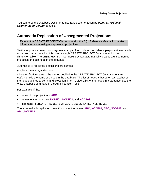You can force the Database Designer to use range segmentation by *Using an Artificial Segmentation Column* (page 17).

### **Automatic Replication of Unsegmented Projections**

Refer to the CREATE PROJECTION command in the SQL Reference Manual for detailed information about using unsegmented projections.

Vertica requires an exact, non-segmented copy of each dimension table superprojection on each node. You can accomplish this using a single CREATE PROJECTION command for each dimension table. The UNSEGMENTED ALL NODES syntax automatically creates a unsegmented projection on each node in the database.

Automatically replicated projections are named:

#### *projection-name*\_*node-name*

where *projection-name* is the name specified in the CREATE PROJECTION statement and *node-name* is the name of a node in the database. The list of nodes is based on a snapshot of the nodes defined at command execution time. To view a list of the nodes in a database, use the View Database command in the Administration Tools.

For example, if the:

- · name of the projection is **ABC**
- · names of the nodes are **NODE01**, **NODE02**, and **NODE03**
- · command is CREATE PROJECTION ABC ... UNSEGMENTED ALL NODES

The automatically replicated projections have the names **ABC\_NODE01**, **ABC\_NODE02**, and **ABC\_NODE03**.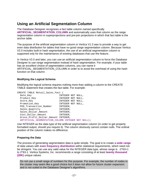### **Using an Artificial Segmentation Column**

The Database Designer recognizes a fact table column named specifically **ARTIFICIAL\_SEGMENTATION\_COLUMN** and automatically uses that column as the range segmentation column in superprojections and pre-join projections in which that fact table is the anchor table.

The purpose of the artificial segmentation column in Vertica V1.3 was to provide a way to get even data distribution for tables that have no good range segmentation column. Because Vertica V2.0 includes built-in hash segmentation, the use of an artificial segmentation column is supported only for the maintenance of existing databases that use the feature.

In Vertica V2.0 and later, you can use an artificial segmentation column to force the Database Designer to use range segmentation instead of hash segmentation. For example, if your table has an excellent choice of segmentation columns, you can name it ARTIFICIAL\_SEGMENTATION\_COLUMN in order to to avoid the overhead of using the hash function on that column.

#### **Modifying the Logical Schema**

Modifying the logical schema requires nothing more than adding a column to the CREATE TABLE statement that creates the fact table. For example:

| CREATE TABLE Retail_Sales_Fact (                  |                   |  |
|---------------------------------------------------|-------------------|--|
| Date Key                                          | INTEGER NOT NULL, |  |
| Product Key                                       | INTEGER NOT NULL, |  |
| Store Key                                         | INTEGER NOT NULL, |  |
| Promotion Key                                     | INTEGER NOT NULL, |  |
| POS_Transaction_Number                            | INTEGER,          |  |
| Sales_Quantity                                    | INTEGER,          |  |
| Sales Dollar Amount                               | INTEGER,          |  |
| Cost Dollar Amount                                | INTEGER,          |  |
| Gross_Profit_Dollar_Amount INTEGER,               |                   |  |
| ARTIFICIAL_SEGMENTATION_COLUMN INTEGER NOT NULL); |                   |  |

Use INTEGER as the data type of the artificial segmentation column (in order to get properly formatted output, should you require it). The column obviously cannot contain nulls. The ordinal position of the column makes no difference.

#### **Preparing the Data**

The process of generating segmentation data is quite simple. The goal is to create a **wide range** of data values with **even frequency distribution** within statistical requirements, which need not be stringent. You can use any valid value for the INTEGER data type, whose range is -2^63+1 to 2^63-1. Vertica Systems, Inc. recommends a range consisting of at least **twenty thousand (20K)** unique values.

Do not use a small range of numbers for this purpose. For example, the number of nodes in the cluster may seem like a good choice but it does not allow for future cluster expansion and is not suited to the Database Designer's algorithms.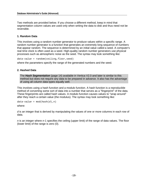Two methods are provided below. If you choose a different method, keep in mind that segmentation column values are used only when writing the data to disk and thus need not be reversible.

#### **1. Random Data**

This involves using a random number generator to produce values within a specific range. A random number generator is a function that generates an extremely long sequence of numbers that appear random. The sequence is determined by an initial value called a seed. A computer's real time clock is often used as a seed. High-quality random number generators use physical processes such as atmospheric noise as the seed. The syntax may look something like:

*data-value* = random(ceiling,floor,seed)

where the parameters specify the range of the generated numbers and the seed.

#### **2. Hashed Data**

The *Hash Segmentation* (page 14) available in Vertica V2.0 and later is similar to this method but does not require any data to be prepared in advance. It also has the advantage of using all column data types equally well.

This involves using a hash function and a modulo function. A hash function is a reproducible method of converting some sort of data into a number that serves as a "fingerprint" of the data. These fingerprints are called hash values. A modulo function causes values to "wrap around" after they reach a certain value (the modulus). The syntax may look something like:

*data-value* = mod(hash(*d*),*n*) where:

*d* is an integer that is derived by manipulating the values of one or more columns in each row of data.

*n* is an integer where *n*-1 specifies the ceiling (upper limit) of the range of data values. The floor (lower limit) of the range is zero (0).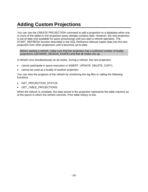# **Adding Custom Projections**

You can use the CREATE PROJECTION command to add a projection to a database when one or more of the tables in the projection query already contains data. However, the new projection is out-of-date (not available for query processing) until you start a refresh operation. The START\_REFRESH function described in the SQL Reference Manual copies data into the new projection from other projections until it becomes up-to-date.

Before starting a refresh, make sure that the projection has a sufficient number of buddy projections (call MARK\_DESIGN\_KSAFE) and that all nodes are up .

A refresh runs simultaneously on all nodes. During a refresh, the new projection:

- · cannot participate in query execution or INSERT, UPDATE, DELETE, COPY)
- cannot be used as a buddy of another projection

You can view the progress of the refresh by monitoring the log files or calling the following functions:

- GET PROJECTION STATUS
- GET TABLE PROJECTIONS

When the refresh is complete, the data stored in the projection represents the table columns as of the epoch in which the refresh commits. Prior table history is lost.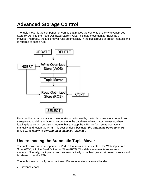# **Advanced Storage Control**

The tuple mover is the component of Vertica that moves the contents of the Write Optimized Store (WOS) into the Read Optimized Store (ROS). This data movement is known as a moveout. Normally, the tuple mover runs automatically in the background at preset intervals and is referred to as the ATM.



Under ordinary circumstances, the operations performed by the tuple mover are automatic and transparent, and thus of little or no concern to the database administrator. However, when loading data, certain conditions require that you stop the ATM, perform some operations manually, and restart the ATM. This section describes *what the automatic operations are* (page 21) and *how to perform them manually* (page 25).

# **Understanding the Automatic Tuple Mover**

The tuple mover is the component of Vertica that moves the contents of the Write Optimized Store (WOS) into the Read Optimized Store (ROS). This data movement is known as a moveout. Normally, the tuple mover runs automatically in the background at preset intervals and is referred to as the ATM.

The tuple mover actually performs three different operations across all nodes:

advance epoch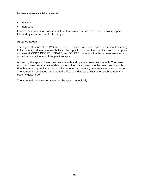- moveout
- mergeout

Each of these operations occur at different intervals. The most frequent is advance epoch, followed by moveout, and lastly mergeout.

#### **Advance Epoch**

The logical structure of the WOS is a series of epochs. An epoch represents committed changes to the data stored in a database between two specific points in time. In other words, an epoch contains all COPY, INSERT, UPDATE, and DELETE operations that have been executed and committed since the end of the previous epoch.

Advancing the epoch closes the current epoch and opens a new current epoch. The closed epoch contains only committed data; uncommitted data moves into the new current epoch. Epoch numbering begins at zero and increments by one every time an advance epoch occurs. The numbering continues throughout the life of the database. Thus, the epoch number can become quite large.

The automatic tuple mover advances the epoch periodically.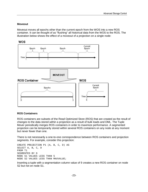#### **Moveout**

Moveout moves all epochs other than the current epoch from the WOS into a new ROS container. It can be thought of as "flushing" all historical data from the WOS to the ROS. The illustration below shows the effect of a moveout of a projection on a single node:





#### **ROS Containers**

ROS containers are subsets of the Read Optimized Store (ROS) that are created as the result of changes to the data stored within a projection as a result of bulk loads and DML. The Tuple Mover periodically merges ROS containers in order to maximize performance. A segmented projection can be temporarily stored within several ROS containers on any node at any moment but never fewer than one.

There is not necessarily a one-to-one correspondence between ROS containers and projection segments. For example, consider this projection:

CREATE PROJECTION P1 (A, B, C, D) AS SELECT A, B, C, D FROM T1 SEGMENTED BY D NODE S1 VALUES LESS THAN 5 NODE S2 VALUES LESS THAN MAXVALUE;

Inserting a tuple with a segmentation column value of 9 creates a new ROS container on node S2 but not on node S1.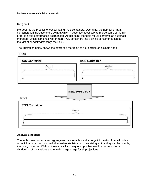#### **Mergeout**

Mergeout is the process of consolidating ROS containers. Over time, the number of ROS containers will increase to the point at which it becomes necessary to merge some of them in order to avoid performance degradation. At that point, the tuple mover performs an automatic mergeout, which combines two or more ROS containers into a single container. It can be thought of as "defragmenting" the ROS.

The illustration below shows the effect of a mergeout of a projection on a single node:

| ---- |  |
|------|--|
|      |  |

| <b>ROS Container</b>                                                                                          | <b>ROS Container</b>   |
|---------------------------------------------------------------------------------------------------------------|------------------------|
| Epochs                                                                                                        | Epochs                 |
|                                                                                                               |                        |
|                                                                                                               | 3                      |
| <b>ROS</b>                                                                                                    | <b>MERGEOUT 0 TO 7</b> |
| <b>ROS Container</b>                                                                                          |                        |
| prima comunicamente comunicamente de la comunicación de la comunicación de la comunicación de la comunicación | Epochs                 |
|                                                                                                               |                        |
|                                                                                                               |                        |

#### **Analyze Statistics**

The tuple mover collects and aggregates data samples and storage information from all nodes on which a projection is stored, then writes statistics into the catalog so that they can be used by the query optimizer. Without these statistics, the query optimizer would assume uniform distribution of data values and equal storage usage for all projections.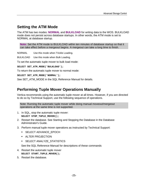# **Setting the ATM Mode**

The ATM has two modes: **NORMAL** and **BULKLOAD** for writing data to the WOS. BULKLOAD mode does not persist across database startups. In other words, the ATM mode is set to NORMAL at database startup.

**Note:** Set the ATM mode to BULKLOAD within ten minutes of database startup so that it can take effect before a mergeout begins. A mergeout can take a long time to finish.

NORMAL Use this mode when Trickle Loading.

BULKLOAD Use this mode when Bulk Loading.

To set the automatic tuple mover to bulk load mode:

**SELECT SET\_ATM\_MODE('BULKLOAD');**

To return the automatic tuple mover to normal mode:

**SELECT SET\_ATM\_MODE('NORMAL');**

See SET\_ATM\_MODE in the SQL Reference Manual for details.

# **Performing Tuple Mover Operations Manually**

Vertica recommends using the automatic tuple mover at all times. However, if you are directed to do so by Technical Support, use the following sequence of operations.

Note: Running the automatic tuple mover while doing manual moveout/mergeout operations at the same time is not supported.

- 1. In SQL, stop the automatic tuple mover: **SELECT STOP\_TUPLE\_MOVER();**
- 2. Restart the database. See Starting and Stopping the Database in the Database Administrator's Guide.
- 3. Perform manual tuple mover operations as instructed by Technical Support:
	- **SELECT ADVANCE\_EPOCH**
	- **ALTER PROJECTION**
	- **SELECT ANALYZE STATISTICS**

See the SQL Reference Manual for descriptions of these commands

- 4. Restart the automatic tuple mover SELECT START TUPLE MOVER();
- 5. Restart the database.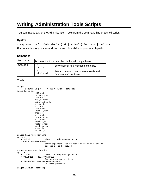# **Writing Administration Tools Scripts**

You can invoke any of the Administration Tools from the command line or a shell script.

#### **Syntax**

```
> /opt/vertica/bin/adminTools [ -t | --tool ] toolname [ options ]
For convenience, you can add /opt/vertica/bin to your search path.
```
#### **Semantics**

| toolname | is one of the tools described in the help output below. |                                                                    |
|----------|---------------------------------------------------------|--------------------------------------------------------------------|
| options  | -h<br>--help                                            | shows a brief help message and exits.                              |
|          | $-a$<br>--help_all                                      | lists all command line sub-commands and<br>options as shown below. |

#### **Tools**

```
Usage:
        adminTools [-t | --tool] toolName [options]
Valid tools are: 
               kill_node
               run_designer
               list_db
               view_cluster
               uninstall_node
               create_db
               stop_db
               list_node
               install_node
               drop_db
               stop_node
               config_nodes
               drop_node
               restart_db
               restart_node
              check_spread
              start_db
              connect_db
-------------------------------------------------------------------------
usage: kill_node [options]
options:
  -h, --help show this help message and exit
   -s NODES, --nodes=NODES
                        comma-separated list of nodes on which the vertica
                        prcoess is to be killed
-------------------------------------------------------------------------
usage: runDesigner [options]
options:<br>-h, --help
                show this help message and exit
   -f PARAMFILE, --file=PARAMFILE
                        Designer parameters file
   -p DBPASSWORD, --password=DBPASSWORD
 Database password
                                          -------------------------------------------------------------------------
usage: list_db [options]
```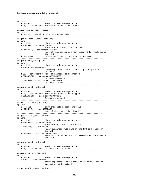#### **Database Administrator's Guide (Advanced)**

```
options:<br>-h. --help
                        show this help message and exit
   -d DB, --database=DB Name of database to be listed
  -------------------------------------------------------------------------
usage: view_cluster [options]
options:
 -h, --help show this help message and exit
             -------------------------------------------------------------------------
usage: uninstall_node [options]
options:
  -h, --help show this help message and exit
   -s NODENAME, --node=NODENAME
                        Node name upon which to uninstall
   -p PASSWORD, --password=PASSWORD
                         Name of file containing root password for machines in
                         the list
  -d, --delete Delete configuration data during uninstall
       -------------------------------------------------------------------------
usage: create_db [options]
options:
  -h, --help show this help message and exit
   -s NODES, --nodes=NODES
                         comma-separated list of nodes to participate in
database database
 -d DB, --database=DB Name of database to be created
   -p DBPASSWORD, --password=DBPASSWORD
                         Database password
   -l LICENSEFILE, --license=LICENSEFILE
 Database license
                                        -------------------------------------------------------------------------
usage: stop_db [options]
options:<br>-h, --help
                        show this help message and exit
   -d DB, --database=DB Name of database to be stopped
   -p DBPASSWORD, --password=DBPASSWORD
 Database password
                             -------------------------------------------------------------------------
usage: list_node [options]
options:
  -h, --help show this help message and exit
  -s NODENAME, --node=NODENAME
                        Name of the node to be listed
-------------------------------------------------------------------------
usage: install_node [options]
options:
  -h, --help show this help message and exit
   -s NODENAME, --node=NODENAME
                         Node name upon which to install
   -r RPMNAME, --rpm=RPMNAME
                         Fully qualified file name of the RPM to be used on
                         install
   -p PASSWORD, --password=PASSWORD
                         Name of file containing root password for machines in
                         the list
-------------------------------------------------------------------------
usage: drop_db [options]
options:
  -h, --help show this help message and exit
   -d DB, --database=DB Database to be dropped
                            -------------------------------------------------------------------------
usage: stop_node [options]
options:<br>-h, --help
                        show this help message and exit
   -s NODES, --nodes=NODES
                        comma-separated list of nodes on which the vertica
                        prcoess is to be killed
-------------------------------------------------------------------------
usage: config_nodes [options]
```

```
-28-
```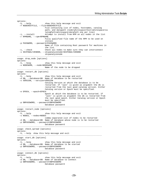```
options:<br>-h. --help
                         show this help message and exit
   -f NODEHOSTFILE, --file=NODEHOSTFILE
                          File containing list of nodes, hostnames, catalog
                          path, and datapath (node<whitespace>host<whitespace>ca
  talogPath<whitespace>dataPath one per line)<br>i, --install attempt to install from RPM on all nodes in
                         Attempt to install from RPM on all nodes in the list
   -r RPMNAME, --rpm=RPMNAME
                          Fully qualified file name of the RPM to be used on
                          install
   -p PASSWORD, --password=PASSWORD
                          Name of file containing Root password for machines in
  the list<br>c, --check behind the list
                         Check all nodes to make sure they can interconnect
   -s SKIPANALYZENODE, --skipanalyzenode=SKIPANALYZENODE
                          skipanalyzenode
-------------------------------------------------------------------------
usage: drop_node [options]
options:
   -h, --help show this help message and exit
   -s NODENAME, --node=NODENAME
                         Name of the node to be dropped
-------------------------------------------------------------------------
usage: restart_db [options]
options:<br>-h, --help
                         show this help message and exit
   -d DB, --database=DB Name of database to be restarted
   -v VERSION, --version=VERSION
                          Catalog Version at which the database is to be
                          restarted. If 'last' is given as argument the db is
                          restarted from the last good catalog version. Either
                          Catalog version or Epoch must be specified.
   -e EPOCH, --epoch=EPOCH
                          Epoch at which the database is to be restarted. If
                          'last' is given as argument the db is restarted from
                          the last good epoch. Either Catalog version or Epoch
                          must be specified.
   -p DBPASSWORD, --password=DBPASSWORD
                          Database password
-------------------------------------------------------------------------
usage: restart_node [options]
options:
  -h, --help show this help message and exit
   -s NODES, --nodes=NODES
                          comma-separated list of nodes to be restarted
   -d DB, --database=DB Name of database whose node is to be restarted
   -p DBPASSWORD, --password=DBPASSWORD
                        Database password<br>-------------------
                                             -------------------------------------------------------------------------
usage: check_spread [options]
options:
  -h, --help show this help message and exit
                              -------------------------------------------------------------------------
usage: start_db [options]
options:
  -h, --help show this help message and exit
   -d DB, --database=DB Name of database to be started
   -p DBPASSWORD, --password=DBPASSWORD
                         Database password
-------------------------------------------------------------------------
usage: connect db [options]
options:<br>-h, --help
                         show this help message and exit
   -d DB, --database=DB Name of database to connect
   -p DBPASSWORD, --password=DBPASSWORD
                          Database password
```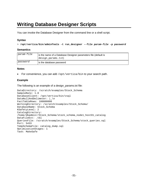# **Writing Database Designer Scripts**

You can invoke the Database Designer from the command line or a shell script.

#### **Syntax**

> **/opt/vertica/bin/adminTools -t run\_designer --file** *param-file* **-p** *password*

#### **Semantics**

| param-file | is the name of a Database Designer parameters file (default is<br>design_params.txt) |
|------------|--------------------------------------------------------------------------------------|
| password   | is the database password                                                             |

#### **Notes**

For convenience, you can add /opt/vertica/bin to your search path.

#### **Example**

The following is an example of a design\_params.txt file:

```
DataDirectory: /scratch/examples/Stock_Schema
SampleRate: 1.0
DatabaseClient: /opt/vertica/bin/vsql
DataNullAndDelimeter: |_\n
FactTableRows: 100000000
WorkingDirectory: /scratch/examples/Stock_Schema/
DatabaseName: Stock_Schema
KSafetyLevel: 2
CatalogDirectory: 
/home/dbadmin//Stock_Schema/stock_schema_node1_host01_catalog
DataFileExt: .tbl
QueriesFile: /scratch/examples/Stock_Schema/stock_queries.sql
Port: 5433
TempSchemaFile: catalog_dump.sql
OptimizationStages: 1
Task: MakeSafe
```